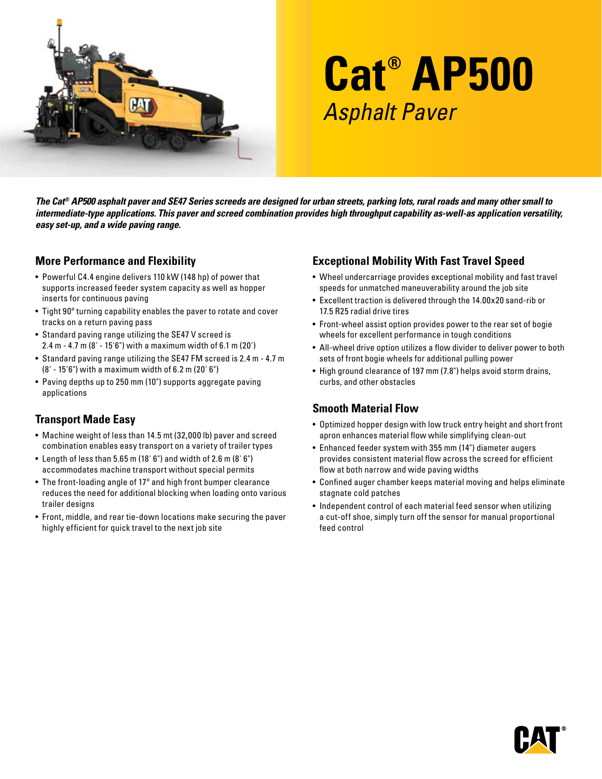

# **Cat® AP500** Asphalt Paver

*The Cat® AP500 asphalt paver and SE47 Series screeds are designed for urban streets, parking lots, rural roads and many other small to intermediate-type applications. This paver and screed combination provides high throughput capability as-well-as application versatility, easy set-up, and a wide paving range.* 

#### **More Performance and Flexibility**

- Powerful C4.4 engine delivers 110 kW (148 hp) of power that supports increased feeder system capacity as well as hopper inserts for continuous paving
- Tight 90º turning capability enables the paver to rotate and cover tracks on a return paving pass
- Standard paving range utilizing the SE47 V screed is 2.4 m - 4.7 m (8' - 15'6") with a maximum width of 6.1 m (20')
- Standard paving range utilizing the SE47 FM screed is 2.4 m 4.7 m (8' - 15'6") with a maximum width of 6.2 m (20' 6")
- Paving depths up to 250 mm (10") supports aggregate paving applications

# **Transport Made Easy**

- Machine weight of less than 14.5 mt (32,000 lb) paver and screed combination enables easy transport on a variety of trailer types
- Length of less than 5.65 m (18' 6") and width of 2.6 m (8' 6") accommodates machine transport without special permits
- The front-loading angle of 17º and high front bumper clearance reduces the need for additional blocking when loading onto various trailer designs
- Front, middle, and rear tie-down locations make securing the paver highly efficient for quick travel to the next job site

# **Exceptional Mobility With Fast Travel Speed**

- Wheel undercarriage provides exceptional mobility and fast travel speeds for unmatched maneuverability around the job site
- Excellent traction is delivered through the 14.00x20 sand-rib or 17.5 R25 radial drive tires
- Front-wheel assist option provides power to the rear set of bogie wheels for excellent performance in tough conditions
- All-wheel drive option utilizes a flow divider to deliver power to both sets of front bogie wheels for additional pulling power
- High ground clearance of 197 mm (7.8") helps avoid storm drains, curbs, and other obstacles

## **Smooth Material Flow**

- Optimized hopper design with low truck entry height and short front apron enhances material flow while simplifying clean-out
- Enhanced feeder system with 355 mm (14") diameter augers provides consistent material flow across the screed for efficient flow at both narrow and wide paving widths
- Confined auger chamber keeps material moving and helps eliminate stagnate cold patches
- Independent control of each material feed sensor when utilizing a cut-off shoe, simply turn off the sensor for manual proportional feed control

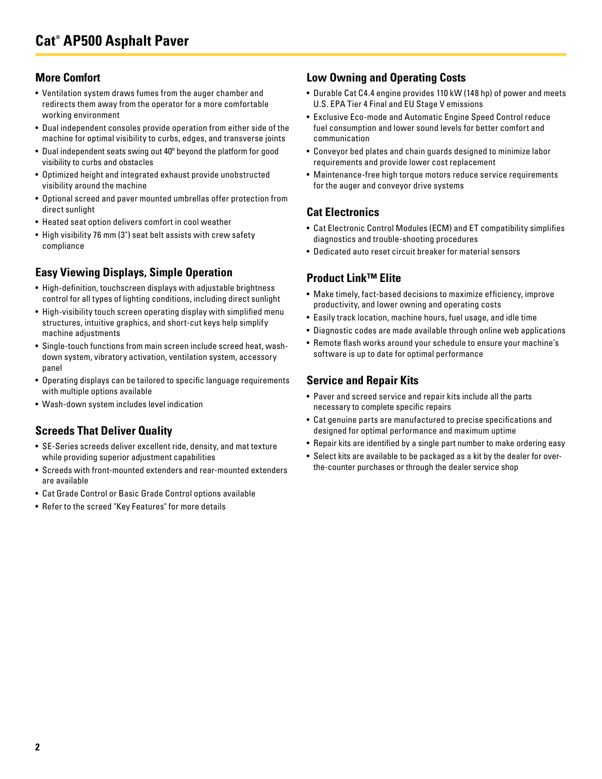## **More Comfort**

- Ventilation system draws fumes from the auger chamber and redirects them away from the operator for a more comfortable working environment
- Dual independent consoles provide operation from either side of the machine for optimal visibility to curbs, edges, and transverse joints
- Dual independent seats swing out 40º beyond the platform for good visibility to curbs and obstacles
- Optimized height and integrated exhaust provide unobstructed visibility around the machine
- Optional screed and paver mounted umbrellas offer protection from direct sunlight
- Heated seat option delivers comfort in cool weather
- High visibility 76 mm (3") seat belt assists with crew safety compliance

# **Easy Viewing Displays, Simple Operation**

- High-definition, touchscreen displays with adjustable brightness control for all types of lighting conditions, including direct sunlight
- High-visibility touch screen operating display with simplified menu structures, intuitive graphics, and short-cut keys help simplify machine adjustments
- Single-touch functions from main screen include screed heat, washdown system, vibratory activation, ventilation system, accessory panel
- Operating displays can be tailored to specific language requirements with multiple options available
- Wash-down system includes level indication

# **Screeds That Deliver Quality**

- SE-Series screeds deliver excellent ride, density, and mat texture while providing superior adjustment capabilities
- Screeds with front-mounted extenders and rear-mounted extenders are available
- Cat Grade Control or Basic Grade Control options available
- Refer to the screed "Key Features" for more details

## **Low Owning and Operating Costs**

- Durable Cat C4.4 engine provides 110 kW (148 hp) of power and meets U.S. EPA Tier 4 Final and EU Stage V emissions
- Exclusive Eco-mode and Automatic Engine Speed Control reduce fuel consumption and lower sound levels for better comfort and communication
- Conveyor bed plates and chain guards designed to minimize labor requirements and provide lower cost replacement
- Maintenance-free high torque motors reduce service requirements for the auger and conveyor drive systems

#### **Cat Electronics**

- Cat Electronic Control Modules (ECM) and ET compatibility simplifies diagnostics and trouble-shooting procedures
- Dedicated auto reset circuit breaker for material sensors

## **Product Link™ Elite**

- Make timely, fact-based decisions to maximize efficiency, improve productivity, and lower owning and operating costs
- Easily track location, machine hours, fuel usage, and idle time
- Diagnostic codes are made available through online web applications
- Remote flash works around your schedule to ensure your machine's software is up to date for optimal performance

## **Service and Repair Kits**

- Paver and screed service and repair kits include all the parts necessary to complete specific repairs
- Cat genuine parts are manufactured to precise specifications and designed for optimal performance and maximum uptime
- Repair kits are identified by a single part number to make ordering easy
- Select kits are available to be packaged as a kit by the dealer for overthe-counter purchases or through the dealer service shop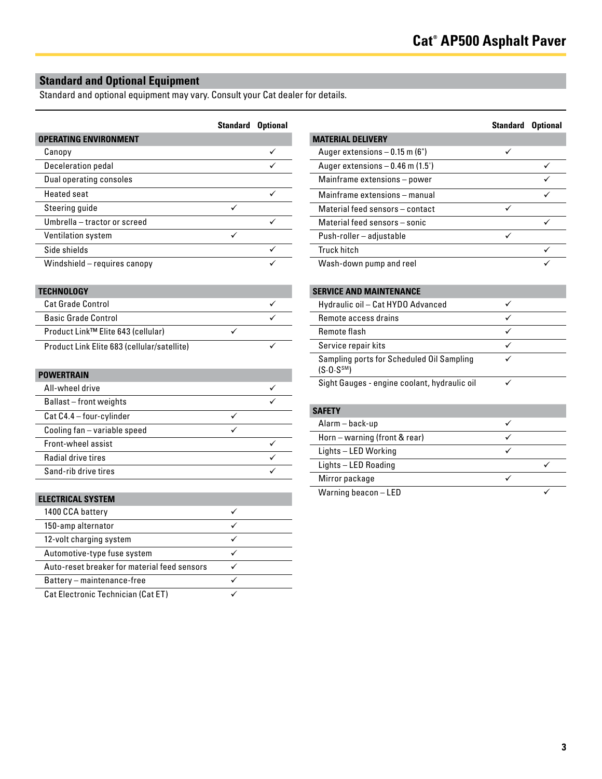# **Standard and Optional Equipment**

Standard and optional equipment may vary. Consult your Cat dealer for details.

|                              | Standard | <b>Optional</b> |
|------------------------------|----------|-----------------|
| <b>OPERATING ENVIRONMENT</b> |          |                 |
| Canopy                       |          |                 |
| Deceleration pedal           |          |                 |
| Dual operating consoles      |          |                 |
| <b>Heated seat</b>           |          |                 |
| Steering guide               |          |                 |
| Umbrella - tractor or screed |          |                 |
| Ventilation system           | ✓        |                 |
| Side shields                 |          |                 |
| Windshield - requires canopy |          |                 |
|                              |          |                 |

#### **TECHNOLOGY**

| <b>Cat Grade Control</b>                    |  |
|---------------------------------------------|--|
| <b>Basic Grade Control</b>                  |  |
| Product Link™ Elite 643 (cellular)          |  |
| Product Link Elite 683 (cellular/satellite) |  |

#### **POWERTRAIN**

| All-wheel drive              |  |
|------------------------------|--|
| Ballast-front weights        |  |
| Cat C4.4 - four-cylinder     |  |
| Cooling fan - variable speed |  |
| Front-wheel assist           |  |
| Radial drive tires           |  |
| Sand-rib drive tires         |  |

| <b>ELECTRICAL SYSTEM</b>                     |  |
|----------------------------------------------|--|
| 1400 CCA battery                             |  |
| 150-amp alternator                           |  |
| 12-volt charging system                      |  |
| Automotive-type fuse system                  |  |
| Auto-reset breaker for material feed sensors |  |
| Battery - maintenance-free                   |  |
| Cat Electronic Technician (Cat ET)           |  |

|                                   | Standard | <b>Optional</b> |
|-----------------------------------|----------|-----------------|
| <b>MATERIAL DELIVERY</b>          |          |                 |
| Auger extensions $-0.15$ m (6")   | ✓        |                 |
| Auger extensions $-0.46$ m (1.5') |          |                 |
| Mainframe extensions - power      |          |                 |
| Mainframe extensions - manual     |          |                 |
| Material feed sensors - contact   |          |                 |
| Material feed sensors - sonic     |          |                 |
| Push-roller - adjustable          |          |                 |
| <b>Truck hitch</b>                |          |                 |
| Wash-down pump and reel           |          |                 |

#### **SERVICE AND MAINTENANCE**

| Hydraulic oil - Cat HYDO Advanced                                    |  |
|----------------------------------------------------------------------|--|
| Remote access drains                                                 |  |
| Remote flash                                                         |  |
| Service repair kits                                                  |  |
| Sampling ports for Scheduled Oil Sampling<br>(S.0. S <sup>SM</sup> ) |  |
| Sight Gauges - engine coolant, hydraulic oil                         |  |

#### **SAFETY**

| .                             |  |
|-------------------------------|--|
| Alarm – back-up               |  |
| Horn – warning (front & rear) |  |
| Lights – LED Working          |  |
| Lights - LED Roading          |  |
| Mirror package                |  |
| Warning beacon - LED          |  |
|                               |  |